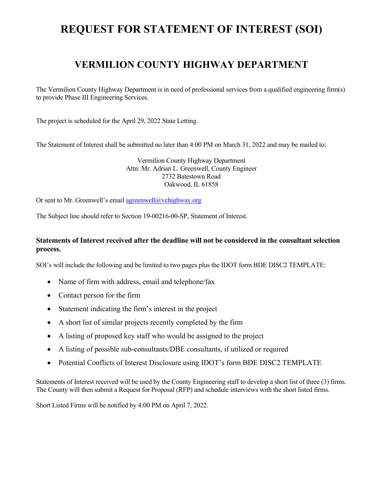# **REQUEST FOR STATEMENT OF INTEREST (SOI)**

### **VERMILION COUNTY HIGHWAY DEPARTMENT**

The Vermilion County Highway Department is in need of professional services from a qualified engineering firm(s) to provide Phase III Engineering Services.

The project is scheduled for the April 29, 2022 State Letting.

The Statement of Interest shall be submitted no later than 4:00 PM on March 31, 2022 and may be mailed to:

Vermilion County Highway Department Attn: Mr. Adrian L. Greenwell, County Engineer 2732 Batestown Road Oakwood, IL 61858

Or sent to Mr. Greenwell's email agreenwell@vchighway.org

The Subject line should refer to Section 19-00216-00-SP, Statement of Interest.

#### **Statements of Interest received after the deadline will not be considered in the consultant selection process.**

SOI's will include the following and be limited to two pages plus the IDOT form BDE DISC2 TEMPLATE:

- Name of firm with address, email and telephone/fax
- Contact person for the firm
- Statement indicating the firm's interest in the project
- A short list of similar projects recently completed by the firm
- A listing of proposed key staff who would be assigned to the project
- A listing of possible sub-consultants/DBE consultants, if utilized or required
- Potential Conflicts of Interest Disclosure using IDOT's form BDE DISC2 TEMPLATE

Statements of Interest received will be used by the County Engineering staff to develop a short list of three (3) firms. The County will then submit a Request for Proposal (RFP) and schedule interviews with the short listed firms.

Short Listed Firms will be notified by 4:00 PM on April 7, 2022.